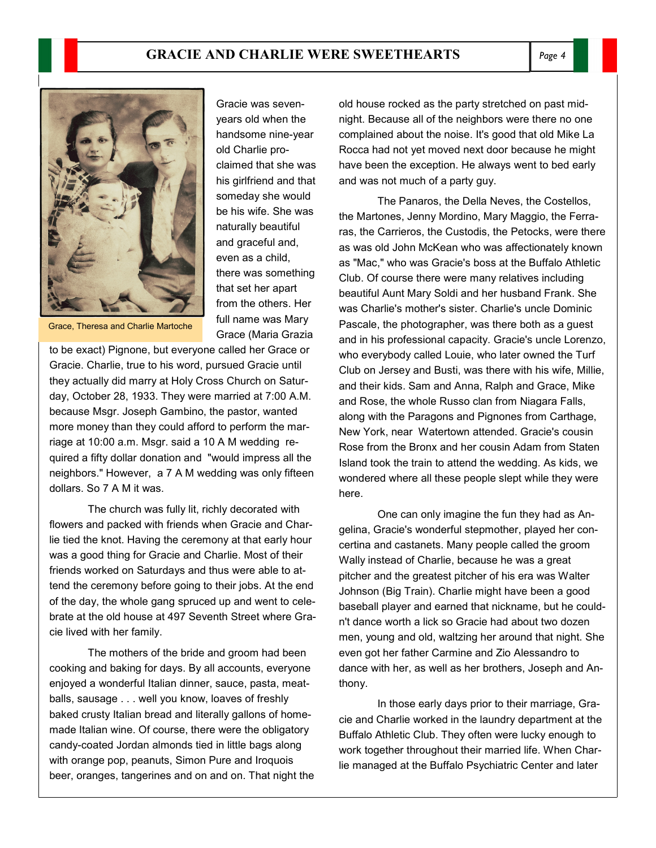



Gracie was sevenyears old when the handsome nine-year old Charlie proclaimed that she was his girlfriend and that someday she would be his wife. She was naturally beautiful and graceful and, even as a child, there was something that set her apart from the others. Her full name was Mary Grace (Maria Grazia

Grace, Theresa and Charlie Martoche

to be exact) Pignone, but everyone called her Grace or Gracie. Charlie, true to his word, pursued Gracie until they actually did marry at Holy Cross Church on Saturday, October 28, 1933. They were married at 7:00 A.M. because Msgr. Joseph Gambino, the pastor, wanted more money than they could afford to perform the marriage at 10:00 a.m. Msgr. said a 10 A M wedding required a fifty dollar donation and "would impress all the neighbors." However, a 7 A M wedding was only fifteen dollars. So 7 A M it was.

 The church was fully lit, richly decorated with flowers and packed with friends when Gracie and Charlie tied the knot. Having the ceremony at that early hour was a good thing for Gracie and Charlie. Most of their friends worked on Saturdays and thus were able to attend the ceremony before going to their jobs. At the end of the day, the whole gang spruced up and went to celebrate at the old house at 497 Seventh Street where Gracie lived with her family.

 The mothers of the bride and groom had been cooking and baking for days. By all accounts, everyone enjoyed a wonderful Italian dinner, sauce, pasta, meatballs, sausage . . . well you know, loaves of freshly baked crusty Italian bread and literally gallons of homemade Italian wine. Of course, there were the obligatory candy-coated Jordan almonds tied in little bags along with orange pop, peanuts, Simon Pure and Iroquois beer, oranges, tangerines and on and on. That night the old house rocked as the party stretched on past midnight. Because all of the neighbors were there no one complained about the noise. It's good that old Mike La Rocca had not yet moved next door because he might have been the exception. He always went to bed early and was not much of a party guy.

 The Panaros, the Della Neves, the Costellos, the Martones, Jenny Mordino, Mary Maggio, the Ferraras, the Carrieros, the Custodis, the Petocks, were there as was old John McKean who was affectionately known as "Mac," who was Gracie's boss at the Buffalo Athletic Club. Of course there were many relatives including beautiful Aunt Mary Soldi and her husband Frank. She was Charlie's mother's sister. Charlie's uncle Dominic Pascale, the photographer, was there both as a guest and in his professional capacity. Gracie's uncle Lorenzo, who everybody called Louie, who later owned the Turf Club on Jersey and Busti, was there with his wife, Millie, and their kids. Sam and Anna, Ralph and Grace, Mike and Rose, the whole Russo clan from Niagara Falls, along with the Paragons and Pignones from Carthage, New York, near Watertown attended. Gracie's cousin Rose from the Bronx and her cousin Adam from Staten Island took the train to attend the wedding. As kids, we wondered where all these people slept while they were here.

 One can only imagine the fun they had as Angelina, Gracie's wonderful stepmother, played her concertina and castanets. Many people called the groom Wally instead of Charlie, because he was a great pitcher and the greatest pitcher of his era was Walter Johnson (Big Train). Charlie might have been a good baseball player and earned that nickname, but he couldn't dance worth a lick so Gracie had about two dozen men, young and old, waltzing her around that night. She even got her father Carmine and Zio Alessandro to dance with her, as well as her brothers, Joseph and Anthony.

 In those early days prior to their marriage, Gracie and Charlie worked in the laundry department at the Buffalo Athletic Club. They often were lucky enough to work together throughout their married life. When Charlie managed at the Buffalo Psychiatric Center and later